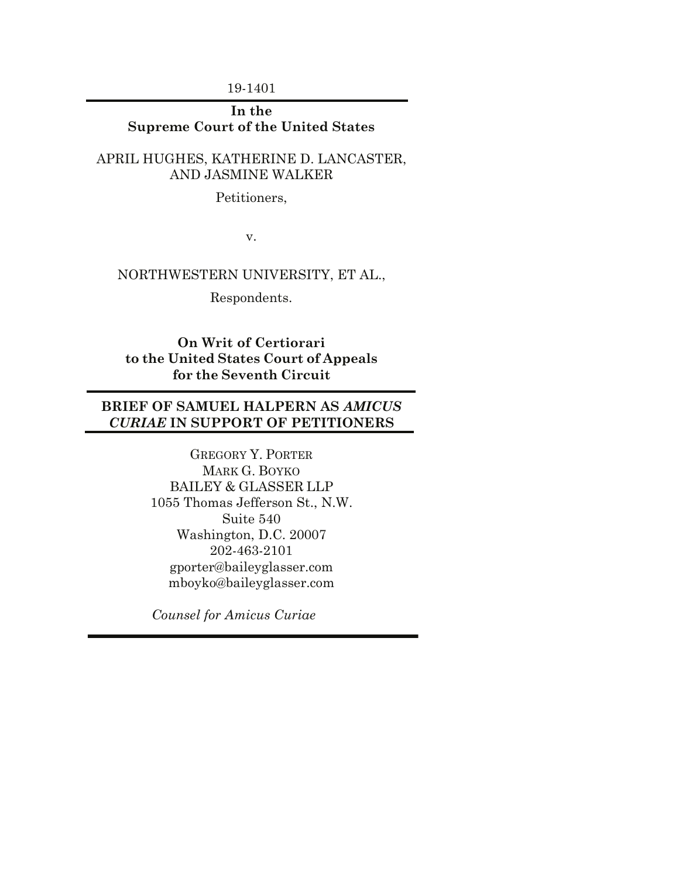19-1401

## **In the Supreme Court of the United States**

## APRIL HUGHES, KATHERINE D. LANCASTER, AND JASMINE WALKER

Petitioners,

v.

## NORTHWESTERN UNIVERSITY, ET AL.,

Respondents.

**On Writ of Certiorari to the United States Court of Appeals for the Seventh Circuit** 

# **BRIEF OF SAMUEL HALPERN AS** *AMICUS CURIAE* **IN SUPPORT OF PETITIONERS**

GREGORY Y. PORTER MARK G. BOYKO BAILEY & GLASSER LLP 1055 Thomas Jefferson St., N.W. Suite 540 Washington, D.C. 20007 202-463-2101 gporter@baileyglasser.com mboyko@baileyglasser.com

*Counsel for Amicus Curiae*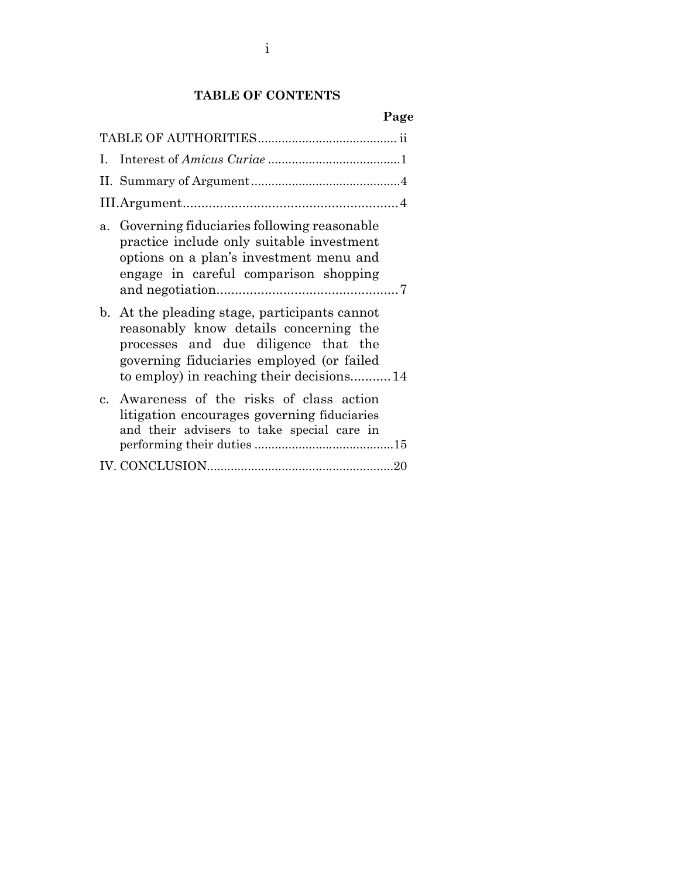# **TABLE OF CONTENTS**

| L.             |                                                                                                                                                                                                                       |
|----------------|-----------------------------------------------------------------------------------------------------------------------------------------------------------------------------------------------------------------------|
|                |                                                                                                                                                                                                                       |
|                |                                                                                                                                                                                                                       |
| a.             | Governing fiduciaries following reasonable<br>practice include only suitable investment<br>options on a plan's investment menu and<br>engage in careful comparison shopping                                           |
| $\mathbf{b}$ . | At the pleading stage, participants cannot<br>reasonably know details concerning the<br>processes and due diligence that the<br>governing fiduciaries employed (or failed<br>to employ) in reaching their decisions14 |
|                | c. Awareness of the risks of class action<br>litigation encourages governing fiduciaries<br>and their advisers to take special care in                                                                                |
|                |                                                                                                                                                                                                                       |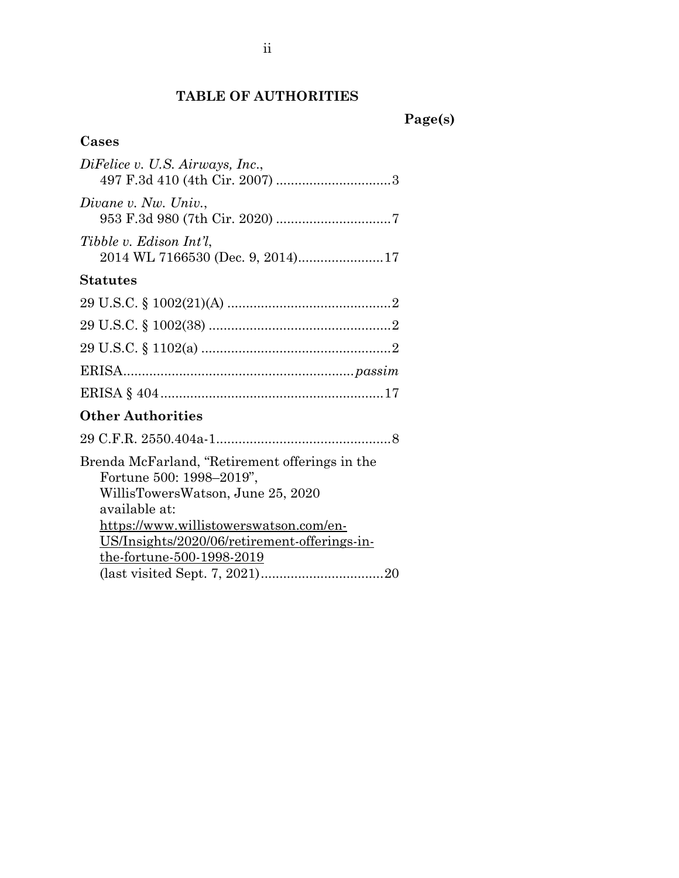# **TABLE OF AUTHORITIES**

# **Cases**

| DiFelice v. U.S. Airways, Inc.,                                                                                                                                                                                                                         |
|---------------------------------------------------------------------------------------------------------------------------------------------------------------------------------------------------------------------------------------------------------|
| Divane v. Nw. Univ.,                                                                                                                                                                                                                                    |
| Tibble v. Edison Int'l.                                                                                                                                                                                                                                 |
| <b>Statutes</b>                                                                                                                                                                                                                                         |
|                                                                                                                                                                                                                                                         |
|                                                                                                                                                                                                                                                         |
|                                                                                                                                                                                                                                                         |
|                                                                                                                                                                                                                                                         |
|                                                                                                                                                                                                                                                         |
| <b>Other Authorities</b>                                                                                                                                                                                                                                |
|                                                                                                                                                                                                                                                         |
| Brenda McFarland, "Retirement offerings in the<br>Fortune 500: 1998–2019",<br>WillisTowersWatson, June 25, 2020<br>available at:<br>https://www.willistowerswatson.com/en-<br>US/Insights/2020/06/retirement-offerings-in-<br>the-fortune-500-1998-2019 |
|                                                                                                                                                                                                                                                         |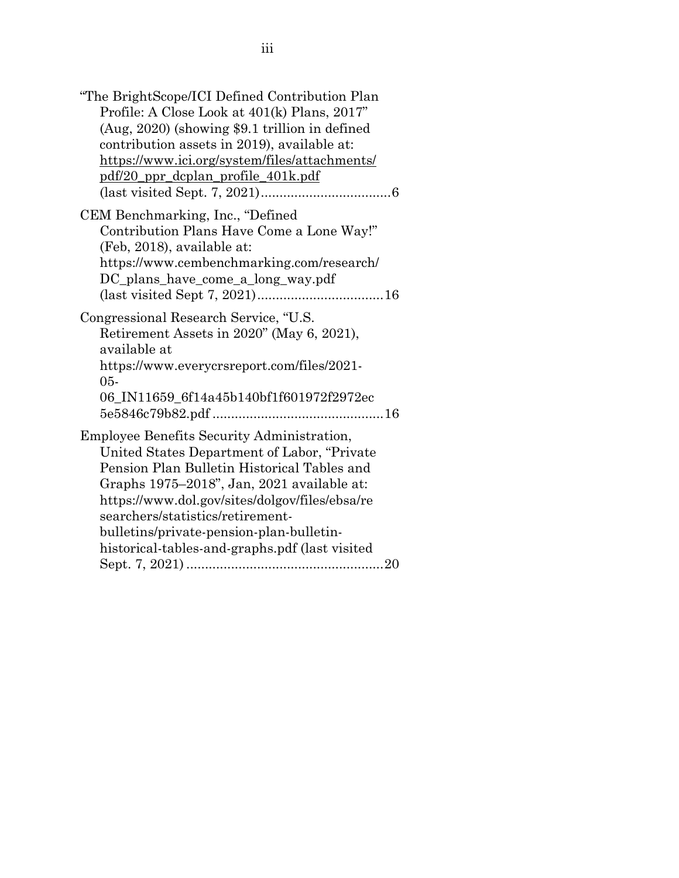| "The BrightScope/ICI Defined Contribution Plan<br>Profile: A Close Look at 401(k) Plans, 2017"<br>(Aug, 2020) (showing \$9.1 trillion in defined<br>contribution assets in 2019), available at:<br>https://www.ici.org/system/files/attachments/<br>pdf/20 ppr dcplan profile 401k.pdf                                                                                     |
|----------------------------------------------------------------------------------------------------------------------------------------------------------------------------------------------------------------------------------------------------------------------------------------------------------------------------------------------------------------------------|
| CEM Benchmarking, Inc., "Defined<br>Contribution Plans Have Come a Lone Way!"<br>(Feb, 2018), available at:<br>https://www.cembenchmarking.com/research/<br>DC plans have come a long way.pdf                                                                                                                                                                              |
| Congressional Research Service, "U.S.<br>Retirement Assets in 2020" (May 6, 2021),<br>available at<br>https://www.everycrsreport.com/files/2021-<br>$05 -$<br>06_IN11659_6f14a45b140bf1f601972f2972ec<br>5e5846c79b82.pdf                                                                                                                                                  |
| Employee Benefits Security Administration,<br>United States Department of Labor, "Private<br>Pension Plan Bulletin Historical Tables and<br>Graphs 1975-2018", Jan, 2021 available at:<br>https://www.dol.gov/sites/dolgov/files/ebsa/re<br>searchers/statistics/retirement-<br>bulletins/private-pension-plan-bulletin-<br>historical-tables-and-graphs.pdf (last visited |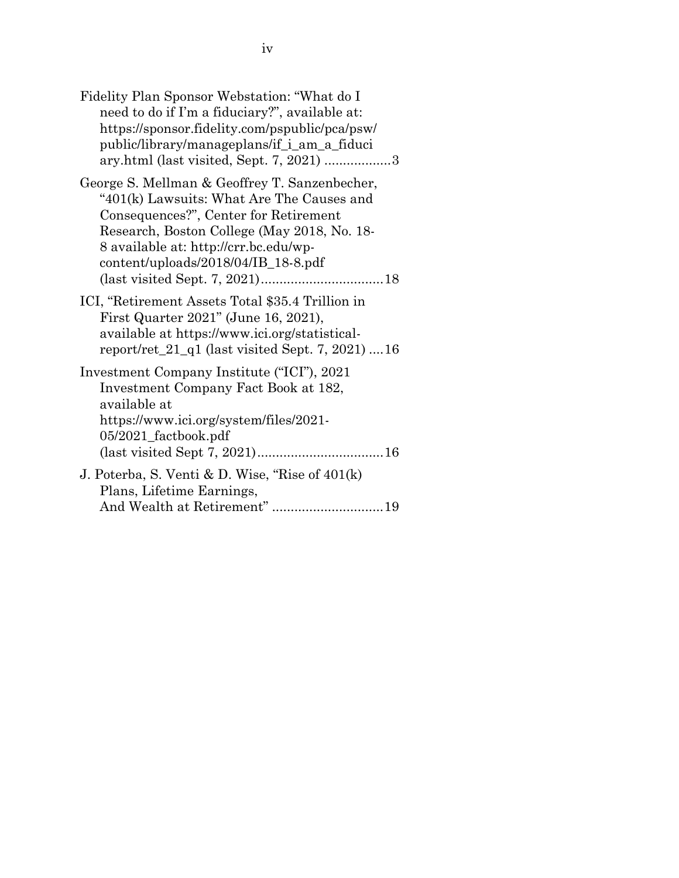| Fidelity Plan Sponsor Webstation: "What do I<br>need to do if I'm a fiduciary?", available at:<br>https://sponsor.fidelity.com/pspublic/pca/psw/<br>public/library/manageplans/if_i_am_a_fiduci<br>ary.html (last visited, Sept. 7, 2021) 3                        |
|--------------------------------------------------------------------------------------------------------------------------------------------------------------------------------------------------------------------------------------------------------------------|
| George S. Mellman & Geoffrey T. Sanzenbecher,<br>"401(k) Lawsuits: What Are The Causes and<br>Consequences?", Center for Retirement<br>Research, Boston College (May 2018, No. 18-<br>8 available at: http://crr.bc.edu/wp-<br>content/uploads/2018/04/IB_18-8.pdf |
| ICI, "Retirement Assets Total \$35.4 Trillion in<br>First Quarter 2021" (June 16, 2021),<br>available at https://www.ici.org/statistical-<br>report/ret_21_q1 (last visited Sept. 7, 2021) 16                                                                      |
| Investment Company Institute ("ICI"), 2021<br>Investment Company Fact Book at 182,<br>available at<br>https://www.ici.org/system/files/2021-<br>05/2021_factbook.pdf                                                                                               |
| J. Poterba, S. Venti & D. Wise, "Rise of $401(k)$<br>Plans, Lifetime Earnings,<br>And Wealth at Retirement"19                                                                                                                                                      |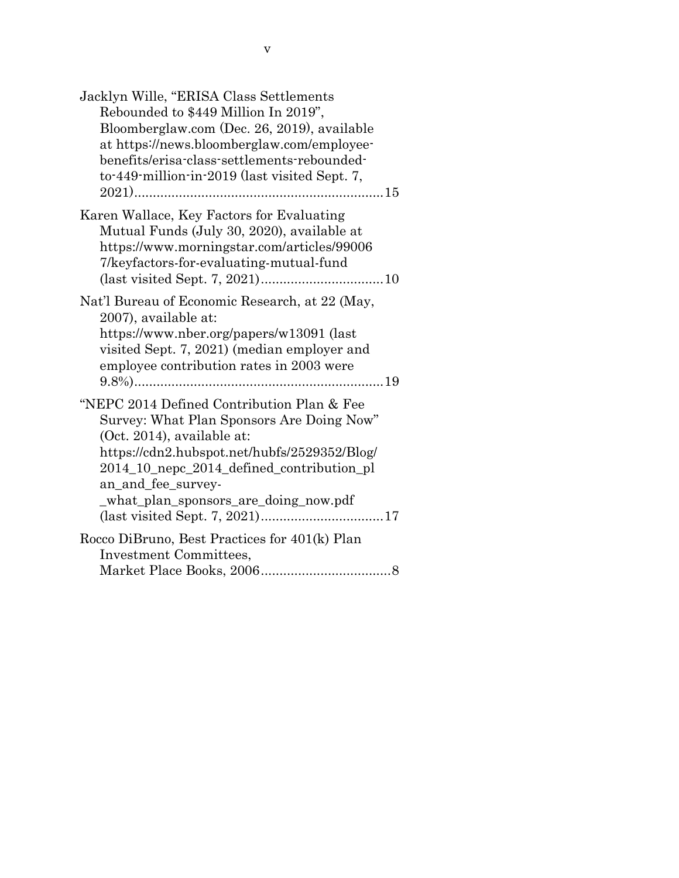| Jacklyn Wille, "ERISA Class Settlements<br>Rebounded to \$449 Million In 2019",<br>Bloomberglaw.com (Dec. 26, 2019), available<br>at https://news.bloomberglaw.com/employee-<br>benefits/erisa-class-settlements-rebounded-<br>to-449-million-in-2019 (last visited Sept. 7,      |
|-----------------------------------------------------------------------------------------------------------------------------------------------------------------------------------------------------------------------------------------------------------------------------------|
| Karen Wallace, Key Factors for Evaluating<br>Mutual Funds (July 30, 2020), available at<br>https://www.morningstar.com/articles/99006<br>7/keyfactors-for-evaluating-mutual-fund                                                                                                  |
| Nat'l Bureau of Economic Research, at 22 (May,<br>2007), available at:<br>https://www.nber.org/papers/w13091 (last<br>visited Sept. 7, 2021) (median employer and<br>employee contribution rates in 2003 were                                                                     |
| "NEPC 2014 Defined Contribution Plan & Fee<br>Survey: What Plan Sponsors Are Doing Now"<br>(Oct. 2014), available at:<br>https://cdn2.hubspot.net/hubfs/2529352/Blog/<br>2014_10_nepc_2014_defined_contribution_pl<br>an and fee survey-<br>_what_plan_sponsors_are_doing_now.pdf |
| Rocco DiBruno, Best Practices for 401(k) Plan<br>Investment Committees,                                                                                                                                                                                                           |
|                                                                                                                                                                                                                                                                                   |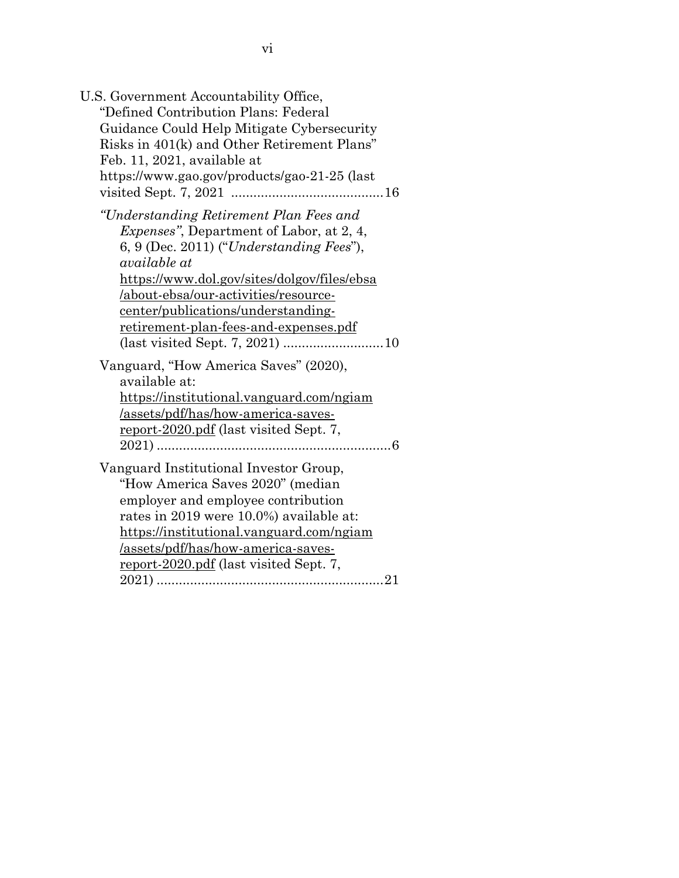| U.S. Government Accountability Office,           |  |
|--------------------------------------------------|--|
| "Defined Contribution Plans: Federal             |  |
| Guidance Could Help Mitigate Cybersecurity       |  |
| Risks in 401(k) and Other Retirement Plans"      |  |
| Feb. 11, 2021, available at                      |  |
| https://www.gao.gov/products/gao-21-25 (last     |  |
|                                                  |  |
| "Understanding Retirement Plan Fees and          |  |
| <i>Expenses</i> ", Department of Labor, at 2, 4, |  |
| $6, 9$ (Dec. 2011) ("Understanding Fees"),       |  |
| available at                                     |  |
| https://www.dol.gov/sites/dolgov/files/ebsa      |  |
| /about-ebsa/our-activities/resource-             |  |
| <u>center/publications/understanding-</u>        |  |
| <u>retirement-plan-fees-and-expenses.pdf</u>     |  |
|                                                  |  |
|                                                  |  |
| Vanguard, "How America Saves" (2020),            |  |
| available at:                                    |  |
| https://institutional.vanguard.com/ngiam         |  |
| /assets/pdf/has/how-america-saves-               |  |
| report-2020.pdf (last visited Sept. 7,           |  |
|                                                  |  |
| Vanguard Institutional Investor Group,           |  |
| "How America Saves 2020" (median                 |  |
| employer and employee contribution               |  |
| rates in 2019 were 10.0%) available at:          |  |
| https://institutional.vanguard.com/ngiam         |  |
| <u>/assets/pdf/has/how-america-saves-</u>        |  |
| report-2020.pdf (last visited Sept. 7,           |  |
|                                                  |  |
|                                                  |  |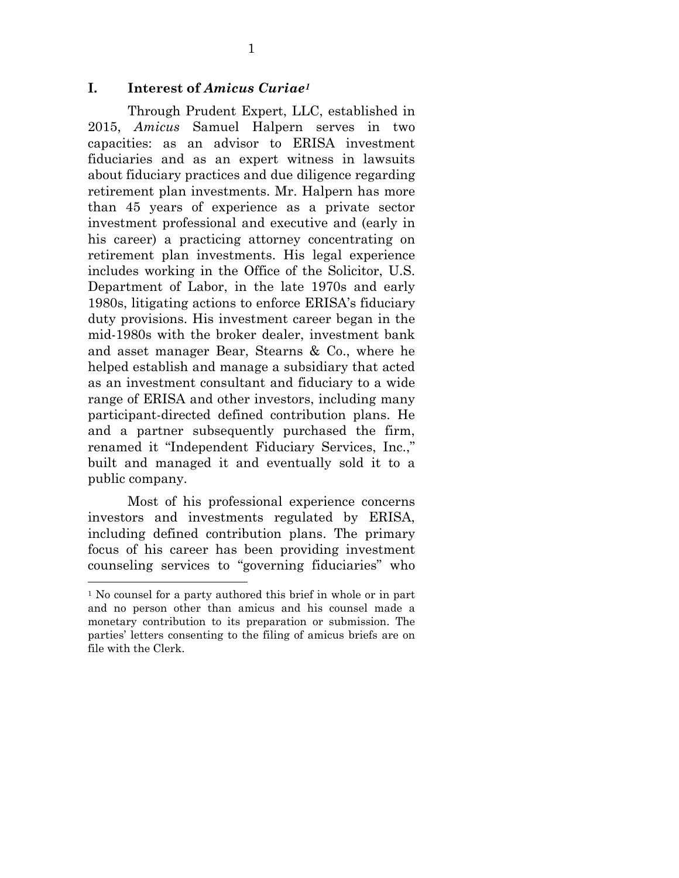#### **I. Interest of** *Amicus Curiae1*

Through Prudent Expert, LLC, established in 2015, *Amicus* Samuel Halpern serves in two capacities: as an advisor to ERISA investment fiduciaries and as an expert witness in lawsuits about fiduciary practices and due diligence regarding retirement plan investments. Mr. Halpern has more than 45 years of experience as a private sector investment professional and executive and (early in his career) a practicing attorney concentrating on retirement plan investments. His legal experience includes working in the Office of the Solicitor, U.S. Department of Labor, in the late 1970s and early 1980s, litigating actions to enforce ERISA's fiduciary duty provisions. His investment career began in the mid-1980s with the broker dealer, investment bank and asset manager Bear, Stearns & Co., where he helped establish and manage a subsidiary that acted as an investment consultant and fiduciary to a wide range of ERISA and other investors, including many participant-directed defined contribution plans. He and a partner subsequently purchased the firm, renamed it "Independent Fiduciary Services, Inc.," built and managed it and eventually sold it to a public company.

Most of his professional experience concerns investors and investments regulated by ERISA, including defined contribution plans. The primary focus of his career has been providing investment counseling services to "governing fiduciaries" who

<sup>&</sup>lt;sup>1</sup> No counsel for a party authored this brief in whole or in part and no person other than amicus and his counsel made a monetary contribution to its preparation or submission. The parties' letters consenting to the filing of amicus briefs are on file with the Clerk.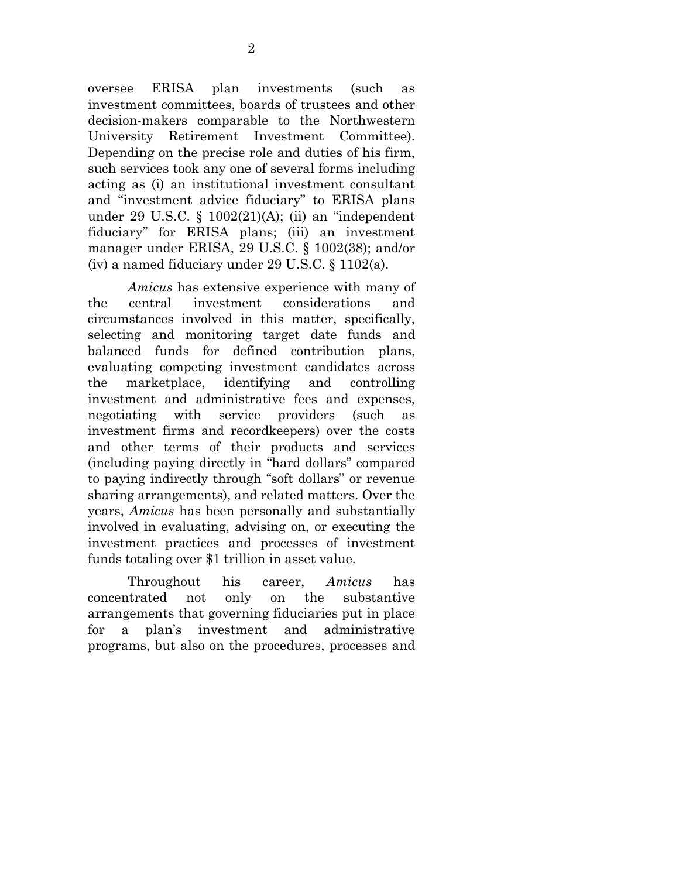oversee ERISA plan investments (such as investment committees, boards of trustees and other decision-makers comparable to the Northwestern University Retirement Investment Committee). Depending on the precise role and duties of his firm, such services took any one of several forms including acting as (i) an institutional investment consultant and "investment advice fiduciary" to ERISA plans under 29 U.S.C. § 1002(21)(A); (ii) an "independent fiduciary" for ERISA plans; (iii) an investment manager under ERISA, 29 U.S.C. § 1002(38); and/or (iv) a named fiduciary under 29 U.S.C. § 1102(a).

*Amicus* has extensive experience with many of the central investment considerations and circumstances involved in this matter, specifically, selecting and monitoring target date funds and balanced funds for defined contribution plans, evaluating competing investment candidates across the marketplace, identifying and controlling investment and administrative fees and expenses, negotiating with service providers (such as investment firms and recordkeepers) over the costs and other terms of their products and services (including paying directly in "hard dollars" compared to paying indirectly through "soft dollars" or revenue sharing arrangements), and related matters. Over the years, *Amicus* has been personally and substantially involved in evaluating, advising on, or executing the investment practices and processes of investment funds totaling over \$1 trillion in asset value.

Throughout his career, *Amicus* has concentrated not only on the substantive arrangements that governing fiduciaries put in place for a plan's investment and administrative programs, but also on the procedures, processes and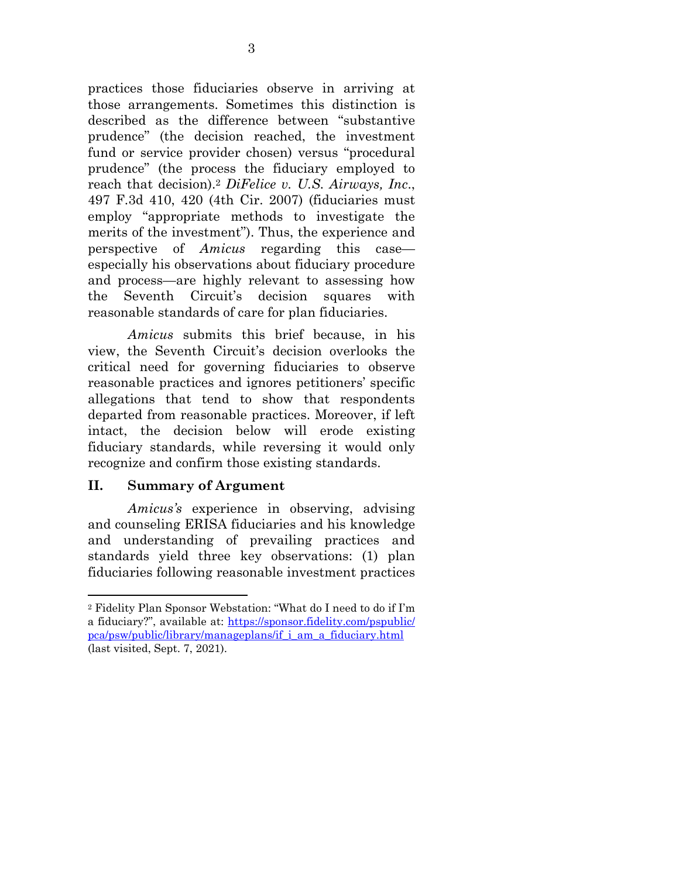practices those fiduciaries observe in arriving at those arrangements. Sometimes this distinction is described as the difference between "substantive prudence" (the decision reached, the investment fund or service provider chosen) versus "procedural prudence" (the process the fiduciary employed to reach that decision).2 *DiFelice v. U.S. Airways, Inc*., 497 F.3d 410, 420 (4th Cir. 2007) (fiduciaries must employ "appropriate methods to investigate the merits of the investment"). Thus, the experience and perspective of *Amicus* regarding this case especially his observations about fiduciary procedure and process—are highly relevant to assessing how the Seventh Circuit's decision squares with reasonable standards of care for plan fiduciaries.

*Amicus* submits this brief because, in his view, the Seventh Circuit's decision overlooks the critical need for governing fiduciaries to observe reasonable practices and ignores petitioners' specific allegations that tend to show that respondents departed from reasonable practices. Moreover, if left intact, the decision below will erode existing fiduciary standards, while reversing it would only recognize and confirm those existing standards.

#### **II. Summary of Argument**

*Amicus's* experience in observing, advising and counseling ERISA fiduciaries and his knowledge and understanding of prevailing practices and standards yield three key observations: (1) plan fiduciaries following reasonable investment practices

<sup>2</sup> Fidelity Plan Sponsor Webstation: "What do I need to do if I'm a fiduciary?", available at: https://sponsor.fidelity.com/pspublic/ pca/psw/public/library/manageplans/if\_i\_am\_a\_fiduciary.html (last visited, Sept. 7, 2021).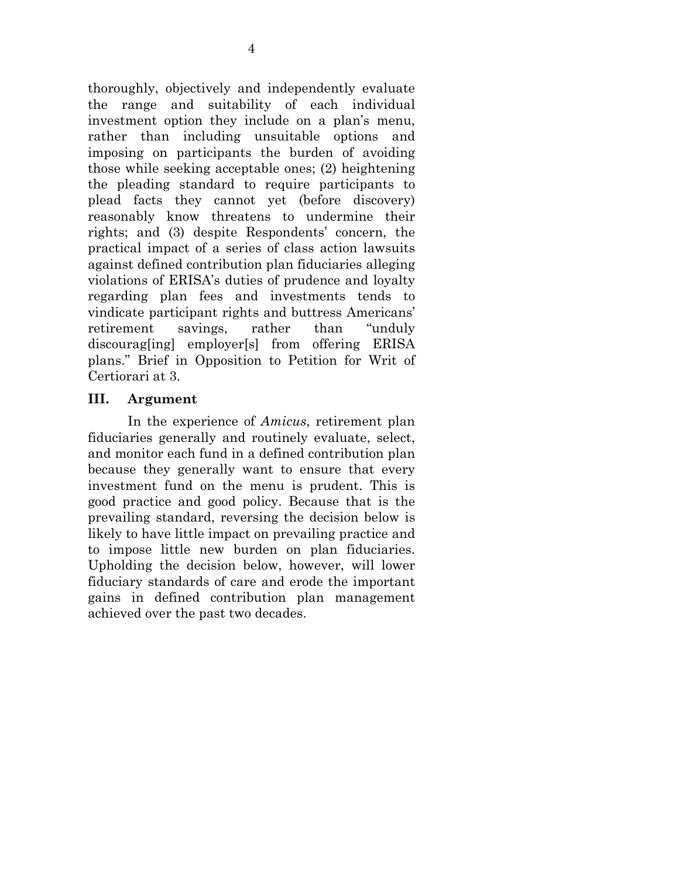thoroughly, objectively and independently evaluate the range and suitability of each individual investment option they include on a plan's menu, rather than including unsuitable options and imposing on participants the burden of avoiding those while seeking acceptable ones; (2) heightening the pleading standard to require participants to plead facts they cannot yet (before discovery) reasonably know threatens to undermine their rights; and (3) despite Respondents' concern, the practical impact of a series of class action lawsuits against defined contribution plan fiduciaries alleging violations of ERISA's duties of prudence and loyalty regarding plan fees and investments tends to vindicate participant rights and buttress Americans' retirement savings, rather than "unduly discourag[ing] employer[s] from offering ERISA plans." Brief in Opposition to Petition for Writ of Certiorari at 3.

## **III. Argument**

In the experience of *Amicus*, retirement plan fiduciaries generally and routinely evaluate, select, and monitor each fund in a defined contribution plan because they generally want to ensure that every investment fund on the menu is prudent. This is good practice and good policy. Because that is the prevailing standard, reversing the decision below is likely to have little impact on prevailing practice and to impose little new burden on plan fiduciaries. Upholding the decision below, however, will lower fiduciary standards of care and erode the important gains in defined contribution plan management achieved over the past two decades.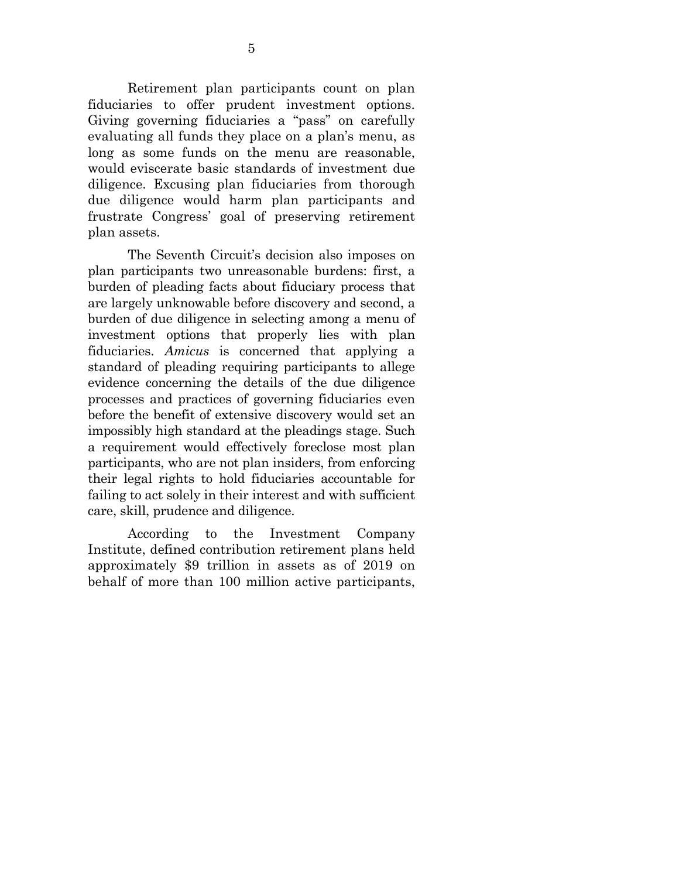Retirement plan participants count on plan fiduciaries to offer prudent investment options. Giving governing fiduciaries a "pass" on carefully evaluating all funds they place on a plan's menu, as long as some funds on the menu are reasonable, would eviscerate basic standards of investment due diligence. Excusing plan fiduciaries from thorough due diligence would harm plan participants and frustrate Congress' goal of preserving retirement plan assets.

The Seventh Circuit's decision also imposes on plan participants two unreasonable burdens: first, a burden of pleading facts about fiduciary process that are largely unknowable before discovery and second, a burden of due diligence in selecting among a menu of investment options that properly lies with plan fiduciaries. *Amicus* is concerned that applying a standard of pleading requiring participants to allege evidence concerning the details of the due diligence processes and practices of governing fiduciaries even before the benefit of extensive discovery would set an impossibly high standard at the pleadings stage. Such a requirement would effectively foreclose most plan participants, who are not plan insiders, from enforcing their legal rights to hold fiduciaries accountable for failing to act solely in their interest and with sufficient care, skill, prudence and diligence.

According to the Investment Company Institute, defined contribution retirement plans held approximately \$9 trillion in assets as of 2019 on behalf of more than 100 million active participants,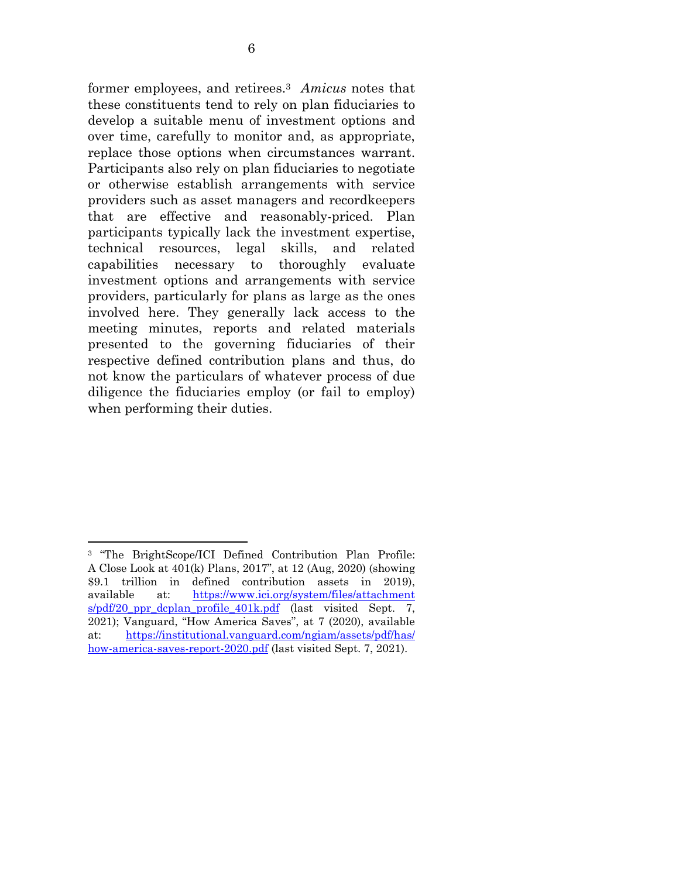former employees, and retirees.3 *Amicus* notes that these constituents tend to rely on plan fiduciaries to develop a suitable menu of investment options and over time, carefully to monitor and, as appropriate, replace those options when circumstances warrant. Participants also rely on plan fiduciaries to negotiate or otherwise establish arrangements with service providers such as asset managers and recordkeepers that are effective and reasonably-priced. Plan participants typically lack the investment expertise, technical resources, legal skills, and related capabilities necessary to thoroughly evaluate investment options and arrangements with service providers, particularly for plans as large as the ones involved here. They generally lack access to the meeting minutes, reports and related materials presented to the governing fiduciaries of their respective defined contribution plans and thus, do not know the particulars of whatever process of due diligence the fiduciaries employ (or fail to employ) when performing their duties.

<sup>3 &</sup>quot;The BrightScope/ICI Defined Contribution Plan Profile: A Close Look at 401(k) Plans, 2017", at 12 (Aug, 2020) (showing \$9.1 trillion in defined contribution assets in 2019), available at: https://www.ici.org/system/files/attachment s/pdf/20\_ppr\_dcplan\_profile\_401k.pdf (last visited Sept. 7, 2021); Vanguard, "How America Saves", at 7 (2020), available at: https://institutional.vanguard.com/ngiam/assets/pdf/has/ how-america-saves-report-2020.pdf (last visited Sept. 7, 2021).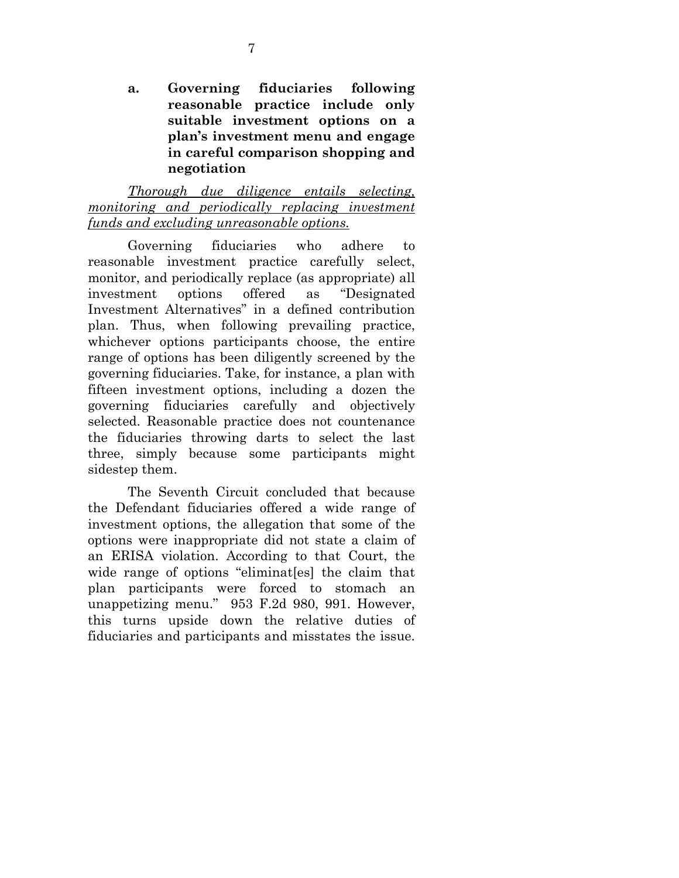**a. Governing fiduciaries following reasonable practice include only suitable investment options on a plan's investment menu and engage in careful comparison shopping and negotiation** 

*Thorough due diligence entails selecting, monitoring and periodically replacing investment funds and excluding unreasonable options.* 

Governing fiduciaries who adhere to reasonable investment practice carefully select, monitor, and periodically replace (as appropriate) all investment options offered as "Designated Investment Alternatives" in a defined contribution plan. Thus, when following prevailing practice, whichever options participants choose, the entire range of options has been diligently screened by the governing fiduciaries. Take, for instance, a plan with fifteen investment options, including a dozen the governing fiduciaries carefully and objectively selected. Reasonable practice does not countenance the fiduciaries throwing darts to select the last three, simply because some participants might sidestep them.

The Seventh Circuit concluded that because the Defendant fiduciaries offered a wide range of investment options, the allegation that some of the options were inappropriate did not state a claim of an ERISA violation. According to that Court, the wide range of options "eliminat[es] the claim that plan participants were forced to stomach an unappetizing menu." 953 F.2d 980, 991. However, this turns upside down the relative duties of fiduciaries and participants and misstates the issue.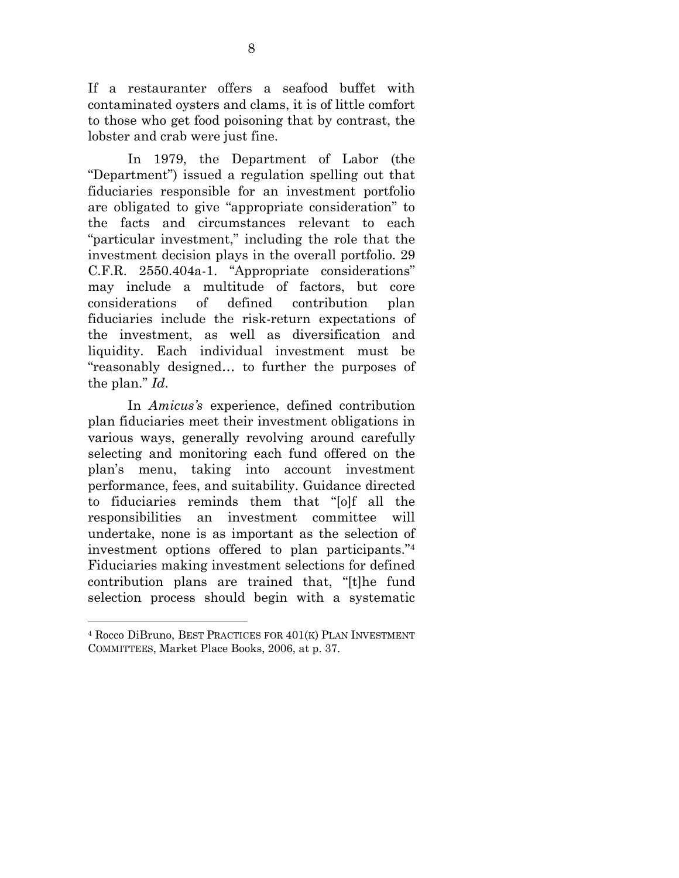If a restauranter offers a seafood buffet with contaminated oysters and clams, it is of little comfort to those who get food poisoning that by contrast, the lobster and crab were just fine.

In 1979, the Department of Labor (the "Department") issued a regulation spelling out that fiduciaries responsible for an investment portfolio are obligated to give "appropriate consideration" to the facts and circumstances relevant to each "particular investment," including the role that the investment decision plays in the overall portfolio. 29 C.F.R. 2550.404a-1. "Appropriate considerations" may include a multitude of factors, but core considerations of defined contribution plan fiduciaries include the risk-return expectations of the investment, as well as diversification and liquidity. Each individual investment must be "reasonably designed… to further the purposes of the plan." *Id*.

In *Amicus's* experience, defined contribution plan fiduciaries meet their investment obligations in various ways, generally revolving around carefully selecting and monitoring each fund offered on the plan's menu, taking into account investment performance, fees, and suitability. Guidance directed to fiduciaries reminds them that "[o]f all the responsibilities an investment committee will undertake, none is as important as the selection of investment options offered to plan participants."4 Fiduciaries making investment selections for defined contribution plans are trained that, "[t]he fund selection process should begin with a systematic

<sup>4</sup> Rocco DiBruno, BEST PRACTICES FOR 401(K) PLAN INVESTMENT COMMITTEES, Market Place Books, 2006, at p. 37.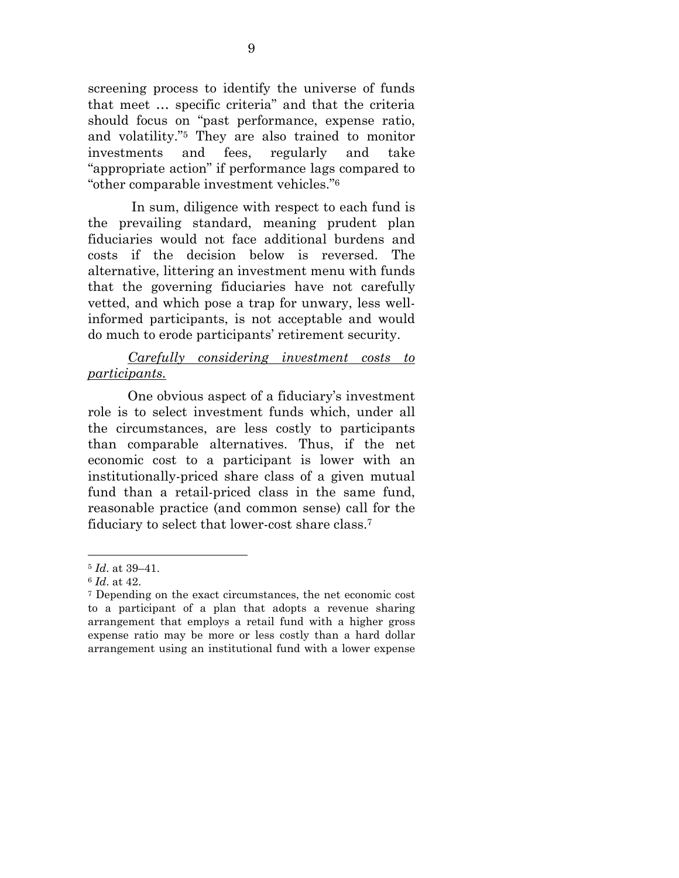screening process to identify the universe of funds that meet … specific criteria" and that the criteria should focus on "past performance, expense ratio, and volatility."5 They are also trained to monitor investments and fees, regularly and take "appropriate action" if performance lags compared to "other comparable investment vehicles."6

 In sum, diligence with respect to each fund is the prevailing standard, meaning prudent plan fiduciaries would not face additional burdens and costs if the decision below is reversed. The alternative, littering an investment menu with funds that the governing fiduciaries have not carefully vetted, and which pose a trap for unwary, less wellinformed participants, is not acceptable and would do much to erode participants' retirement security.

## *Carefully considering investment costs to participants.*

One obvious aspect of a fiduciary's investment role is to select investment funds which, under all the circumstances, are less costly to participants than comparable alternatives. Thus, if the net economic cost to a participant is lower with an institutionally-priced share class of a given mutual fund than a retail-priced class in the same fund, reasonable practice (and common sense) call for the fiduciary to select that lower-cost share class.7

<sup>5</sup> *Id*. at 39–41.

<sup>6</sup> *Id*. at 42.

<sup>7</sup> Depending on the exact circumstances, the net economic cost to a participant of a plan that adopts a revenue sharing arrangement that employs a retail fund with a higher gross expense ratio may be more or less costly than a hard dollar arrangement using an institutional fund with a lower expense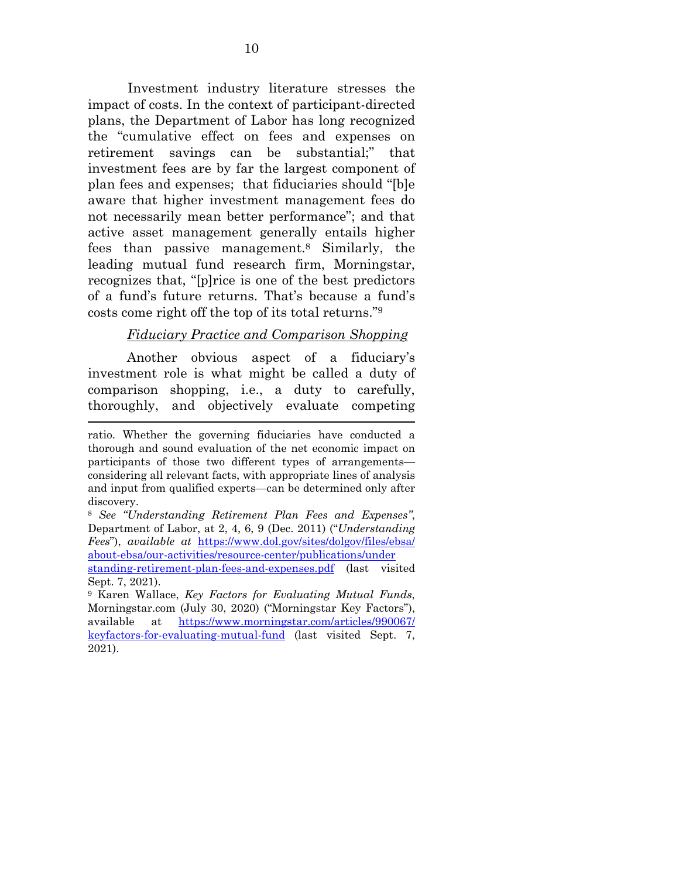Investment industry literature stresses the impact of costs. In the context of participant-directed plans, the Department of Labor has long recognized the "cumulative effect on fees and expenses on retirement savings can be substantial;" that investment fees are by far the largest component of plan fees and expenses; that fiduciaries should "[b]e aware that higher investment management fees do not necessarily mean better performance"; and that active asset management generally entails higher fees than passive management.8 Similarly, the leading mutual fund research firm, Morningstar, recognizes that, "[p]rice is one of the best predictors of a fund's future returns. That's because a fund's costs come right off the top of its total returns."9

#### *Fiduciary Practice and Comparison Shopping*

Another obvious aspect of a fiduciary's investment role is what might be called a duty of comparison shopping, i.e., a duty to carefully, thoroughly, and objectively evaluate competing

ratio. Whether the governing fiduciaries have conducted a thorough and sound evaluation of the net economic impact on participants of those two different types of arrangements considering all relevant facts, with appropriate lines of analysis and input from qualified experts—can be determined only after discovery.

<sup>8</sup> *See "Understanding Retirement Plan Fees and Expenses"*, Department of Labor, at 2, 4, 6, 9 (Dec. 2011) ("*Understanding Fees*"), *available at* https://www.dol.gov/sites/dolgov/files/ebsa/ about-ebsa/our-activities/resource-center/publications/under

standing-retirement-plan-fees-and-expenses.pdf (last visited Sept. 7, 2021).

<sup>9</sup> Karen Wallace, *Key Factors for Evaluating Mutual Funds*, Morningstar.com (July 30, 2020) ("Morningstar Key Factors"), available at https://www.morningstar.com/articles/990067/ keyfactors-for-evaluating-mutual-fund (last visited Sept. 7, 2021).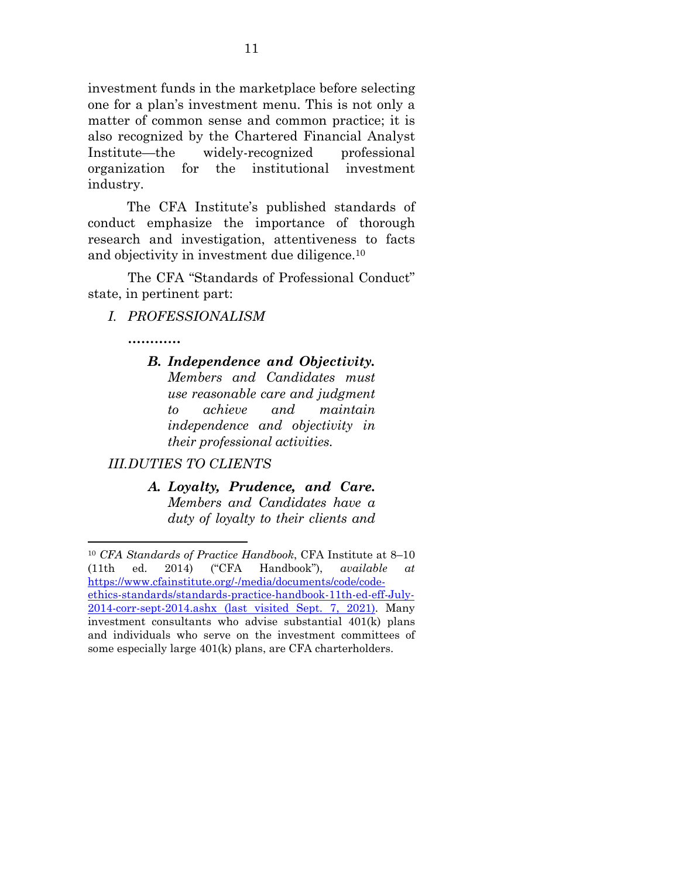investment funds in the marketplace before selecting one for a plan's investment menu. This is not only a matter of common sense and common practice; it is also recognized by the Chartered Financial Analyst Institute—the widely-recognized professional organization for the institutional investment industry.

The CFA Institute's published standards of conduct emphasize the importance of thorough research and investigation, attentiveness to facts and objectivity in investment due diligence.10

 The CFA "Standards of Professional Conduct" state, in pertinent part:

*I. PROFESSIONALISM* 

*…………* 

*B. Independence and Objectivity. Members and Candidates must use reasonable care and judgment to achieve and maintain independence and objectivity in their professional activities.* 

# *III.DUTIES TO CLIENTS*

*A. Loyalty, Prudence, and Care. Members and Candidates have a duty of loyalty to their clients and* 

<sup>10</sup> *CFA Standards of Practice Handbook*, CFA Institute at 8–10 (11th ed. 2014) ("CFA Handbook"), *available at* https://www.cfainstitute.org/-/media/documents/code/codeethics-standards/standards-practice-handbook-11th-ed-eff-July-2014-corr-sept-2014.ashx (last visited Sept. 7, 2021). Many investment consultants who advise substantial 401(k) plans and individuals who serve on the investment committees of some especially large 401(k) plans, are CFA charterholders.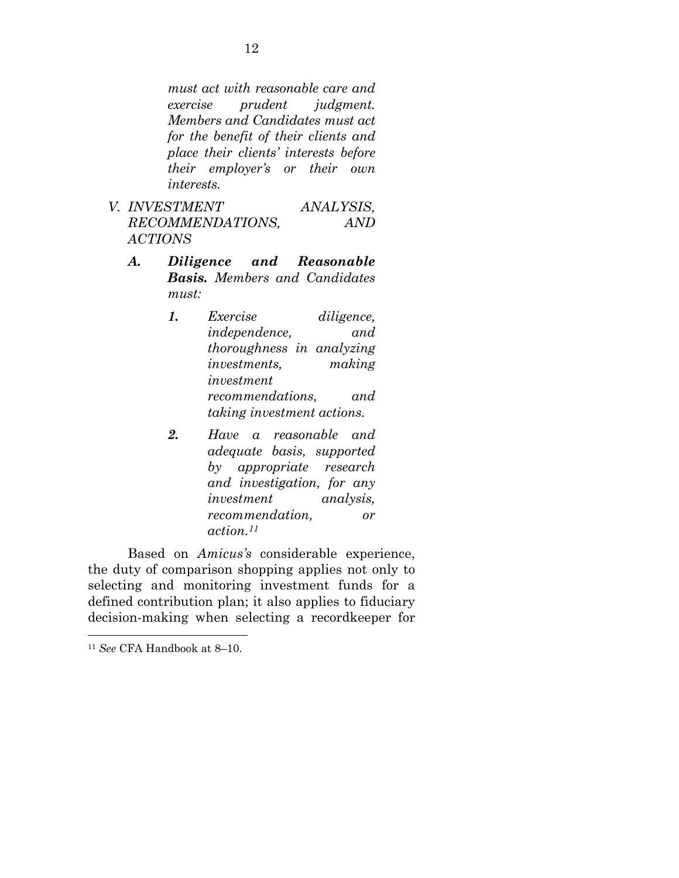*must act with reasonable care and exercise prudent judgment. Members and Candidates must act for the benefit of their clients and place their clients' interests before their employer's or their own interests.*

- *V. INVESTMENT ANALYSIS, RECOMMENDATIONS, AND ACTIONS*
	- *A. Diligence and Reasonable Basis. Members and Candidates must:* 
		- *1. Exercise diligence, independence, and thoroughness in analyzing investments, making investment recommendations, and taking investment actions.*
		- *2. Have a reasonable and adequate basis, supported by appropriate research and investigation, for any investment analysis, recommendation, or action.11*

Based on *Amicus's* considerable experience, the duty of comparison shopping applies not only to selecting and monitoring investment funds for a defined contribution plan; it also applies to fiduciary decision-making when selecting a recordkeeper for

<sup>11</sup> *See* CFA Handbook at 8–10.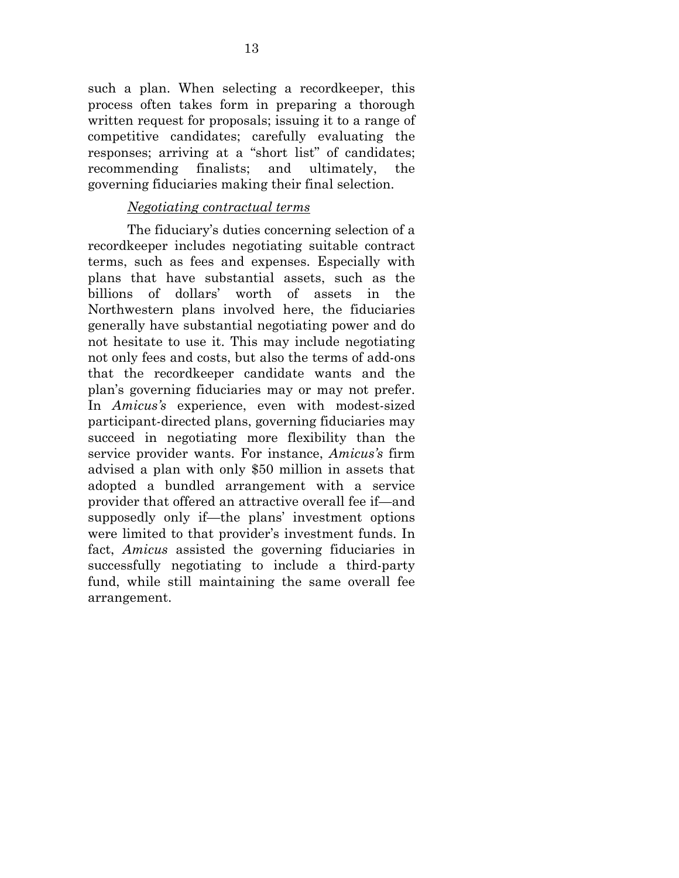such a plan. When selecting a recordkeeper, this process often takes form in preparing a thorough written request for proposals; issuing it to a range of competitive candidates; carefully evaluating the responses; arriving at a "short list" of candidates; recommending finalists; and ultimately, the governing fiduciaries making their final selection.

### *Negotiating contractual terms*

The fiduciary's duties concerning selection of a recordkeeper includes negotiating suitable contract terms, such as fees and expenses. Especially with plans that have substantial assets, such as the billions of dollars' worth of assets in the Northwestern plans involved here, the fiduciaries generally have substantial negotiating power and do not hesitate to use it. This may include negotiating not only fees and costs, but also the terms of add-ons that the recordkeeper candidate wants and the plan's governing fiduciaries may or may not prefer. In *Amicus's* experience, even with modest-sized participant-directed plans, governing fiduciaries may succeed in negotiating more flexibility than the service provider wants. For instance, *Amicus's* firm advised a plan with only \$50 million in assets that adopted a bundled arrangement with a service provider that offered an attractive overall fee if—and supposedly only if—the plans' investment options were limited to that provider's investment funds. In fact, *Amicus* assisted the governing fiduciaries in successfully negotiating to include a third-party fund, while still maintaining the same overall fee arrangement.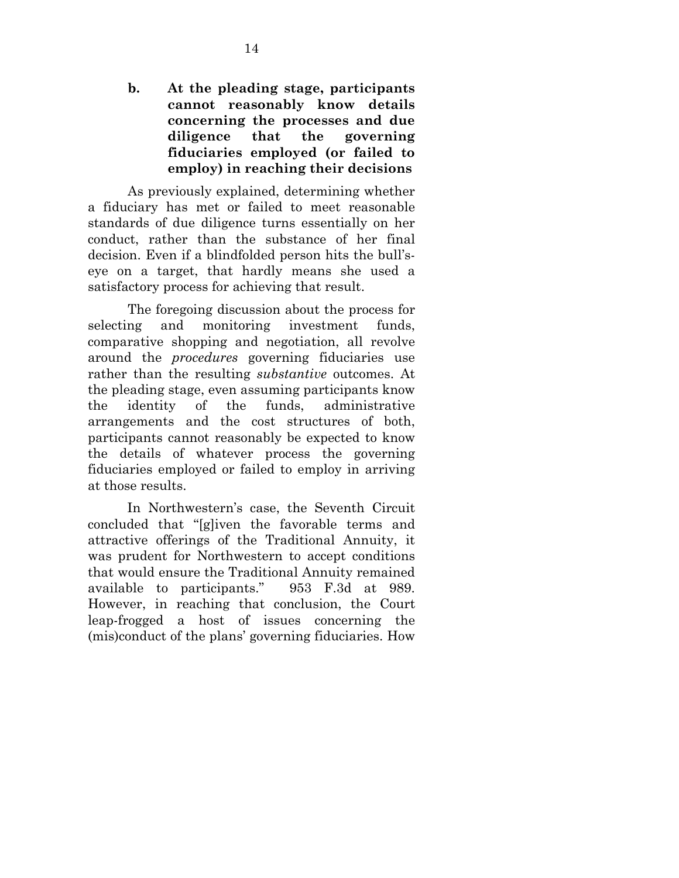**b. At the pleading stage, participants cannot reasonably know details concerning the processes and due diligence that the governing fiduciaries employed (or failed to employ) in reaching their decisions** 

As previously explained, determining whether a fiduciary has met or failed to meet reasonable standards of due diligence turns essentially on her conduct, rather than the substance of her final decision. Even if a blindfolded person hits the bull'seye on a target, that hardly means she used a satisfactory process for achieving that result.

The foregoing discussion about the process for selecting and monitoring investment funds, comparative shopping and negotiation, all revolve around the *procedures* governing fiduciaries use rather than the resulting *substantive* outcomes. At the pleading stage, even assuming participants know the identity of the funds, administrative arrangements and the cost structures of both, participants cannot reasonably be expected to know the details of whatever process the governing fiduciaries employed or failed to employ in arriving at those results.

In Northwestern's case, the Seventh Circuit concluded that "[g]iven the favorable terms and attractive offerings of the Traditional Annuity, it was prudent for Northwestern to accept conditions that would ensure the Traditional Annuity remained available to participants." 953 F.3d at 989. However, in reaching that conclusion, the Court leap-frogged a host of issues concerning the (mis)conduct of the plans' governing fiduciaries. How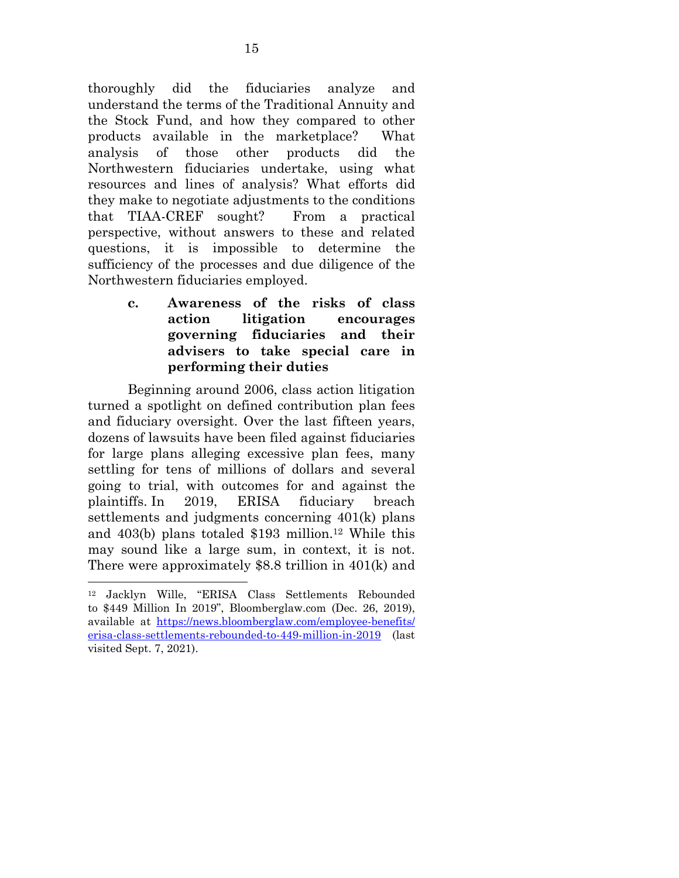thoroughly did the fiduciaries analyze and understand the terms of the Traditional Annuity and the Stock Fund, and how they compared to other products available in the marketplace? What analysis of those other products did the Northwestern fiduciaries undertake, using what resources and lines of analysis? What efforts did they make to negotiate adjustments to the conditions that TIAA-CREF sought? From a practical perspective, without answers to these and related questions, it is impossible to determine the sufficiency of the processes and due diligence of the Northwestern fiduciaries employed.

> **c. Awareness of the risks of class action litigation encourages governing fiduciaries and their advisers to take special care in performing their duties**

Beginning around 2006, class action litigation turned a spotlight on defined contribution plan fees and fiduciary oversight. Over the last fifteen years, dozens of lawsuits have been filed against fiduciaries for large plans alleging excessive plan fees, many settling for tens of millions of dollars and several going to trial, with outcomes for and against the plaintiffs. In 2019, ERISA fiduciary breach settlements and judgments concerning 401(k) plans and 403(b) plans totaled \$193 million.12 While this may sound like a large sum, in context, it is not. There were approximately \$8.8 trillion in 401(k) and

<sup>12</sup> Jacklyn Wille, "ERISA Class Settlements Rebounded to \$449 Million In 2019", Bloomberglaw.com (Dec. 26, 2019), available at https://news.bloomberglaw.com/employee-benefits/ erisa-class-settlements-rebounded-to-449-million-in-2019 (last visited Sept. 7, 2021).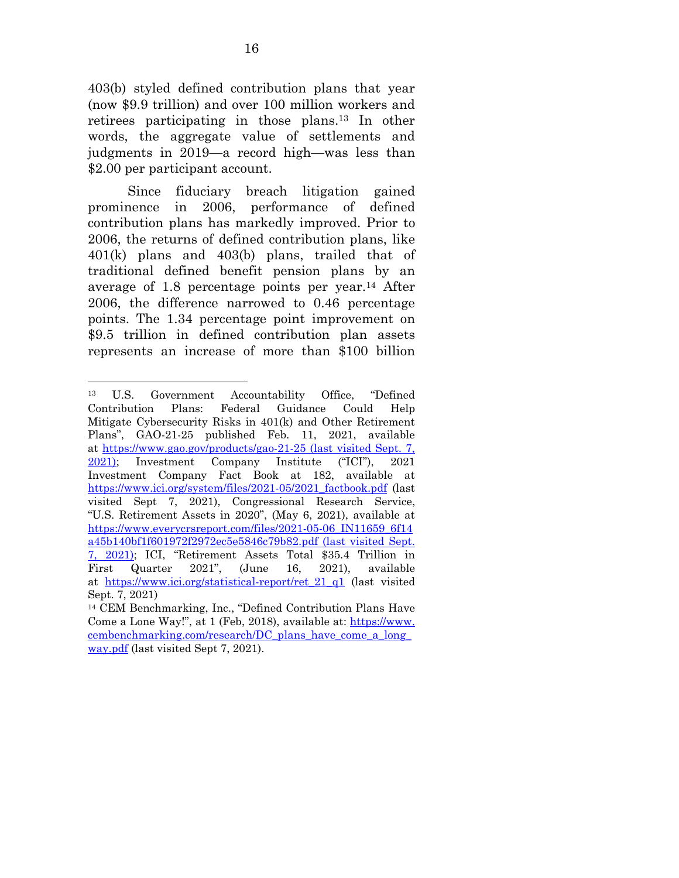403(b) styled defined contribution plans that year (now \$9.9 trillion) and over 100 million workers and retirees participating in those plans.13 In other words, the aggregate value of settlements and judgments in 2019—a record high—was less than \$2.00 per participant account.

Since fiduciary breach litigation gained prominence in 2006, performance of defined contribution plans has markedly improved. Prior to 2006, the returns of defined contribution plans, like 401(k) plans and 403(b) plans, trailed that of traditional defined benefit pension plans by an average of 1.8 percentage points per year.14 After 2006, the difference narrowed to 0.46 percentage points. The 1.34 percentage point improvement on \$9.5 trillion in defined contribution plan assets represents an increase of more than \$100 billion

<sup>13</sup> U.S. Government Accountability Office, "Defined Contribution Plans: Federal Guidance Could Help Mitigate Cybersecurity Risks in 401(k) and Other Retirement Plans", GAO-21-25 published Feb. 11, 2021, available at https://www.gao.gov/products/gao-21-25 (last visited Sept. 7, 2021); Investment Company Institute ("ICI"), 2021 Investment Company Fact Book at 182, available at https://www.ici.org/system/files/2021-05/2021\_factbook.pdf (last visited Sept 7, 2021), Congressional Research Service, "U.S. Retirement Assets in 2020", (May 6, 2021), available at https://www.everycrsreport.com/files/2021-05-06\_IN11659\_6f14 a45b140bf1f601972f2972ec5e5846c79b82.pdf (last visited Sept. 7, 2021); ICI, "Retirement Assets Total \$35.4 Trillion in First Quarter 2021", (June 16, 2021), available at https://www.ici.org/statistical-report/ret\_21\_q1 (last visited Sept. 7, 2021)

<sup>14</sup> CEM Benchmarking, Inc., "Defined Contribution Plans Have Come a Lone Way!", at 1 (Feb, 2018), available at: https://www. cembenchmarking.com/research/DC\_plans\_have\_come\_a\_long\_ way.pdf (last visited Sept 7, 2021).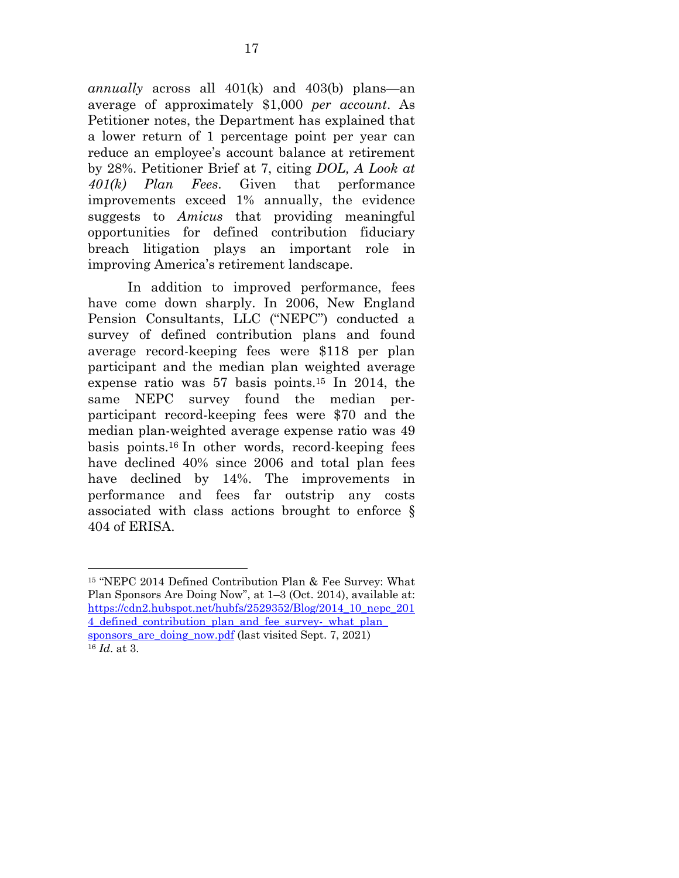*annually* across all 401(k) and 403(b) plans—an average of approximately \$1,000 *per account*. As Petitioner notes, the Department has explained that a lower return of 1 percentage point per year can reduce an employee's account balance at retirement by 28%. Petitioner Brief at 7, citing *DOL, A Look at 401(k) Plan Fees*. Given that performance improvements exceed 1% annually, the evidence suggests to *Amicus* that providing meaningful opportunities for defined contribution fiduciary breach litigation plays an important role in improving America's retirement landscape.

In addition to improved performance, fees have come down sharply. In 2006, New England Pension Consultants, LLC ("NEPC") conducted a survey of defined contribution plans and found average record-keeping fees were \$118 per plan participant and the median plan weighted average expense ratio was 57 basis points.15 In 2014, the same NEPC survey found the median perparticipant record-keeping fees were \$70 and the median plan-weighted average expense ratio was 49 basis points.16 In other words, record-keeping fees have declined 40% since 2006 and total plan fees have declined by 14%. The improvements in performance and fees far outstrip any costs associated with class actions brought to enforce § 404 of ERISA.

<sup>15 &</sup>quot;NEPC 2014 Defined Contribution Plan & Fee Survey: What Plan Sponsors Are Doing Now", at 1–3 (Oct. 2014), available at: https://cdn2.hubspot.net/hubfs/2529352/Blog/2014\_10\_nepc\_201 4\_defined\_contribution\_plan\_and\_fee\_survey-\_what\_plan\_ sponsors\_are\_doing\_now.pdf (last visited Sept. 7, 2021) <sup>16</sup> *Id*. at 3.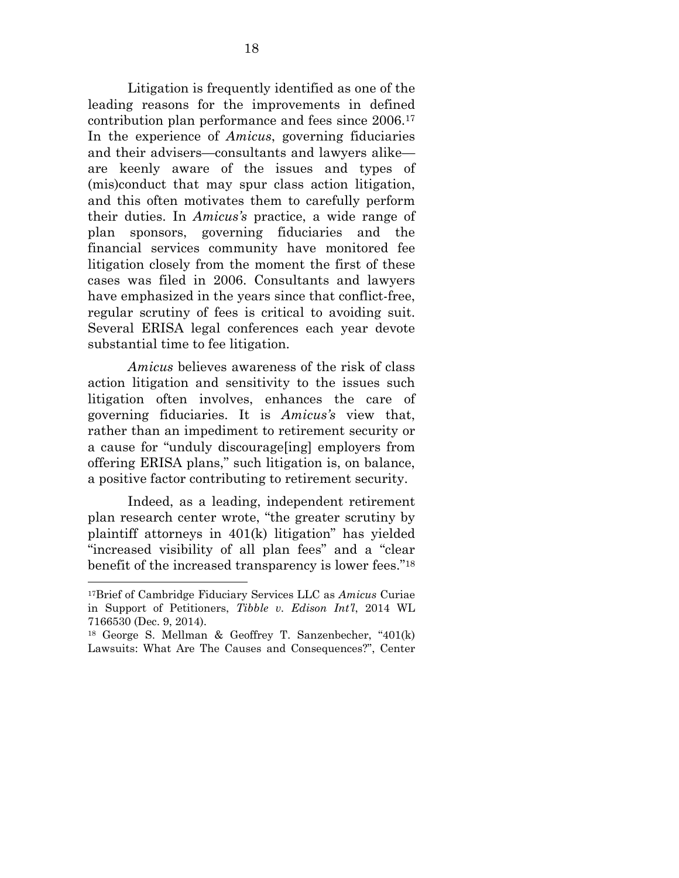Litigation is frequently identified as one of the leading reasons for the improvements in defined contribution plan performance and fees since 2006.17 In the experience of *Amicus*, governing fiduciaries and their advisers—consultants and lawyers alike are keenly aware of the issues and types of (mis)conduct that may spur class action litigation, and this often motivates them to carefully perform their duties. In *Amicus's* practice, a wide range of plan sponsors, governing fiduciaries and the financial services community have monitored fee litigation closely from the moment the first of these cases was filed in 2006. Consultants and lawyers have emphasized in the years since that conflict-free, regular scrutiny of fees is critical to avoiding suit. Several ERISA legal conferences each year devote substantial time to fee litigation.

*Amicus* believes awareness of the risk of class action litigation and sensitivity to the issues such litigation often involves, enhances the care of governing fiduciaries. It is *Amicus's* view that, rather than an impediment to retirement security or a cause for "unduly discourage[ing] employers from offering ERISA plans," such litigation is, on balance, a positive factor contributing to retirement security.

Indeed, as a leading, independent retirement plan research center wrote, "the greater scrutiny by plaintiff attorneys in 401(k) litigation" has yielded "increased visibility of all plan fees" and a "clear benefit of the increased transparency is lower fees."18

<sup>17</sup>Brief of Cambridge Fiduciary Services LLC as *Amicus* Curiae in Support of Petitioners, *Tibble v. Edison Int'l*, 2014 WL 7166530 (Dec. 9, 2014).

<sup>18</sup> George S. Mellman & Geoffrey T. Sanzenbecher, "401(k) Lawsuits: What Are The Causes and Consequences?", Center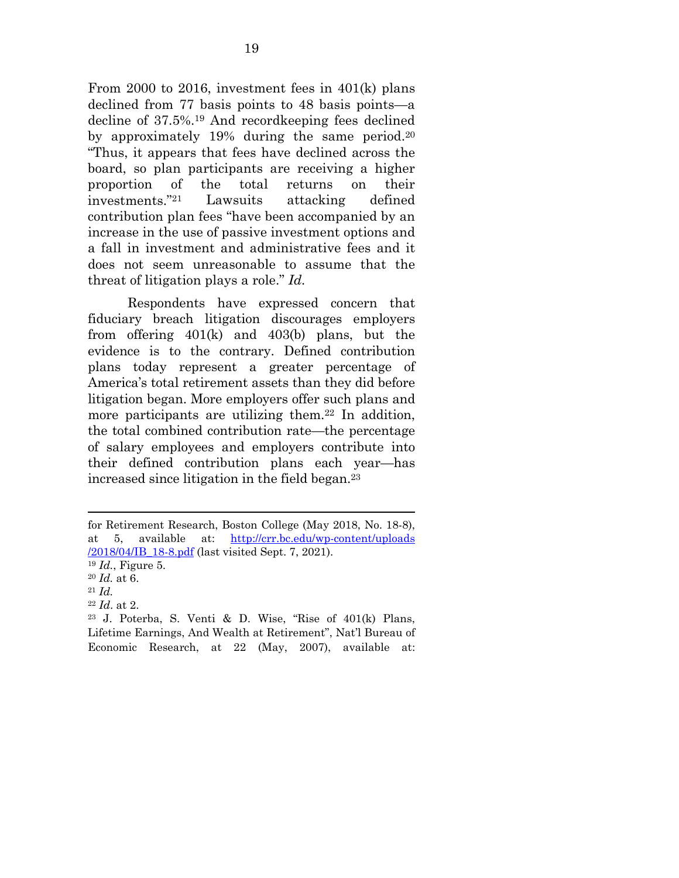From 2000 to 2016, investment fees in 401(k) plans declined from 77 basis points to 48 basis points—a decline of 37.5%.19 And recordkeeping fees declined by approximately 19% during the same period.20 "Thus, it appears that fees have declined across the board, so plan participants are receiving a higher proportion of the total returns on their investments."21 Lawsuits attacking defined contribution plan fees "have been accompanied by an increase in the use of passive investment options and a fall in investment and administrative fees and it does not seem unreasonable to assume that the threat of litigation plays a role." *Id.* 

Respondents have expressed concern that fiduciary breach litigation discourages employers from offering 401(k) and 403(b) plans, but the evidence is to the contrary. Defined contribution plans today represent a greater percentage of America's total retirement assets than they did before litigation began. More employers offer such plans and more participants are utilizing them.<sup>22</sup> In addition, the total combined contribution rate—the percentage of salary employees and employers contribute into their defined contribution plans each year—has increased since litigation in the field began.23

for Retirement Research, Boston College (May 2018, No. 18-8), at 5, available at: http://crr.bc.edu/wp-content/uploads /2018/04/IB\_18-8.pdf (last visited Sept. 7, 2021). <sup>19</sup> *Id.*, Figure 5. <sup>20</sup> *Id.* at 6. 21 *Id.*

<sup>22</sup> *Id*. at 2.

<sup>23</sup> J. Poterba, S. Venti & D. Wise, "Rise of 401(k) Plans, Lifetime Earnings, And Wealth at Retirement", Nat'l Bureau of Economic Research, at 22 (May, 2007), available at: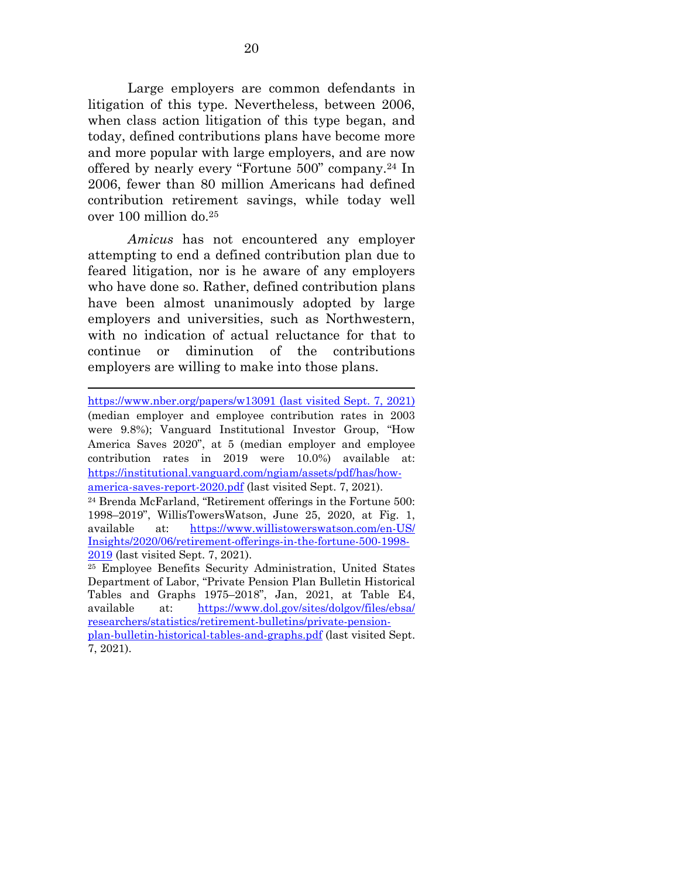Large employers are common defendants in litigation of this type. Nevertheless, between 2006, when class action litigation of this type began, and today, defined contributions plans have become more and more popular with large employers, and are now offered by nearly every "Fortune 500" company.24 In 2006, fewer than 80 million Americans had defined contribution retirement savings, while today well over 100 million do.25

*Amicus* has not encountered any employer attempting to end a defined contribution plan due to feared litigation, nor is he aware of any employers who have done so. Rather, defined contribution plans have been almost unanimously adopted by large employers and universities, such as Northwestern, with no indication of actual reluctance for that to continue or diminution of the contributions employers are willing to make into those plans.

https://www.nber.org/papers/w13091 (last visited Sept. 7, 2021) (median employer and employee contribution rates in 2003 were 9.8%); Vanguard Institutional Investor Group, "How America Saves 2020", at 5 (median employer and employee contribution rates in 2019 were 10.0%) available at: https://institutional.vanguard.com/ngiam/assets/pdf/has/howamerica-saves-report-2020.pdf (last visited Sept. 7, 2021).

24 Brenda McFarland, "Retirement offerings in the Fortune 500: 1998–2019", WillisTowersWatson, June 25, 2020, at Fig. 1, available at: https://www.willistowerswatson.com/en-US/ Insights/2020/06/retirement-offerings-in-the-fortune-500-1998- 2019 (last visited Sept. 7, 2021).

25 Employee Benefits Security Administration, United States Department of Labor, "Private Pension Plan Bulletin Historical Tables and Graphs 1975–2018", Jan, 2021, at Table E4, available at: https://www.dol.gov/sites/dolgov/files/ebsa/ researchers/statistics/retirement-bulletins/private-pensionplan-bulletin-historical-tables-and-graphs.pdf (last visited Sept. 7, 2021).